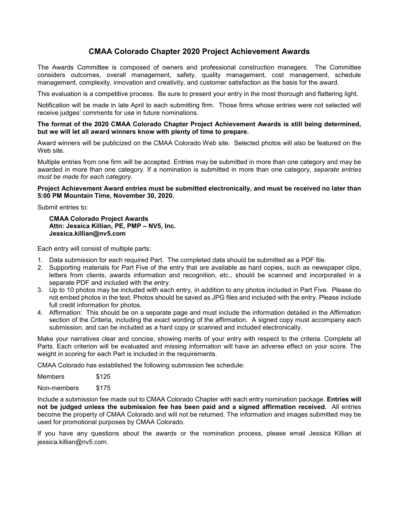# **CMAA Colorado Chapter 2020 Project Achievement Awards**

The Awards Committee is composed of owners and professional construction managers. The Committee considers outcomes, overall management, safety, quality management, cost management, schedule management, complexity, innovation and creativity, and customer satisfaction as the basis for the award.

This evaluation is a competitive process. Be sure to present your entry in the most thorough and flattering light.

Notification will be made in late April to each submitting firm. Those firms whose entries were not selected will receive judges' comments for use in future nominations.

#### **The format of the 2020 CMAA Colorado Chapter Project Achievement Awards is still being determined, but we will let all award winners know with plenty of time to prepare.**

Award winners will be publicized on the CMAA Colorado Web site. Selected photos will also be featured on the Web site.

Multiple entries from one firm will be accepted. Entries may be submitted in more than one category and may be awarded in more than one category. If a nomination is submitted in more than one category, *separate entries must be made for each category*.

#### **Project Achievement Award entries must be submitted electronically, and must be received no later than 5:00 PM Mountain Time, November 30, 2020.**

Submit entries to:

**CMAA Colorado Project Awards Attn: Jessica Killian, PE, PMP – NV5, Inc. Jessica.killian@nv5.com**

Each entry will consist of multiple parts:

- 1. Data submission for each required Part. The completed data should be submitted as a PDF file.
- 2. Supporting materials for Part Five of the entry that are available as hard copies, such as newspaper clips, letters from clients, awards information and recognition, etc., should be scanned and incorporated in a separate PDF and included with the entry.
- 3. Up to 10 photos may be included with each entry, in addition to any photos included in Part Five. Please do not embed photos in the text. Photos should be saved as JPG files and included with the entry. Please include full credit information for photos.
- 4. Affirmation: This should be on a separate page and must include the information detailed in the Affirmation section of the Criteria, including the exact wording of the affirmation. A signed copy must accompany each submission, and can be included as a hard copy or scanned and included electronically.

Make your narratives clear and concise, showing merits of your entry with respect to the criteria. Complete all Parts. Each criterion will be evaluated and missing information will have an adverse effect on your score. The weight in scoring for each Part is included in the requirements.

CMAA Colorado has established the following submission fee schedule:

Members \$125

Non-members \$175

Include a submission fee made out to CMAA Colorado Chapter with each entry nomination package. **Entries will not be judged unless the submission fee has been paid and a signed affirmation received.** All entries become the property of CMAA Colorado and will not be returned. The information and images submitted may be used for promotional purposes by CMAA Colorado.

If you have any questions about the awards or the nomination process, please email Jessica Killian at jessica.killian@nv5.com.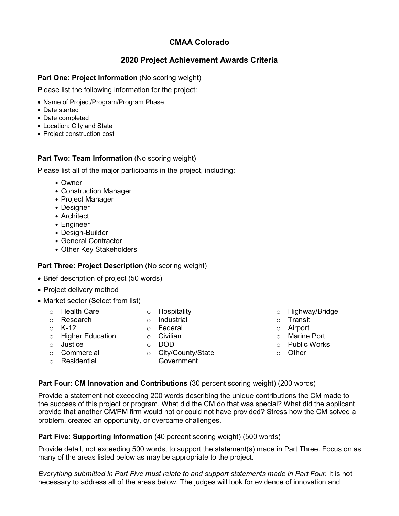# **CMAA Colorado**

# **2020 Project Achievement Awards Criteria**

# **Part One: Project Information** (No scoring weight)

Please list the following information for the project:

- Name of Project/Program/Program Phase
- Date started
- Date completed
- Location: City and State
- Project construction cost

# **Part Two: Team Information (No scoring weight)**

Please list all of the major participants in the project, including:

- Owner
- Construction Manager
- Project Manager
- Designer
- Architect
- Engineer
- Design-Builder
- General Contractor
- Other Key Stakeholders

# **Part Three: Project Description (No scoring weight)**

- Brief description of project (50 words)
- Project delivery method
- Market sector (Select from list)
	- o Health Care o Research
- o Hospitality o Industrial
- $\circ$  K-12
- o Federal o Civilian
- o Higher Education
- o Justice
- o DOD
- o Commercial
- 
- o Residential
- o City/County/State
- o Highway/Bridge
- o Transit
- o Airport
- o Marine Port
- o Public Works
- o Other

# **Part Four: CM Innovation and Contributions** (30 percent scoring weight) (200 words)

Provide a statement not exceeding 200 words describing the unique contributions the CM made to the success of this project or program. What did the CM do that was special? What did the applicant provide that another CM/PM firm would not or could not have provided? Stress how the CM solved a problem, created an opportunity, or overcame challenges.

# **Part Five: Supporting Information** (40 percent scoring weight) (500 words)

Provide detail, not exceeding 500 words, to support the statement(s) made in Part Three. Focus on as many of the areas listed below as may be appropriate to the project.

*Everything submitted in Part Five must relate to and support statements made in Part Four.* It is not necessary to address all of the areas below. The judges will look for evidence of innovation and

Government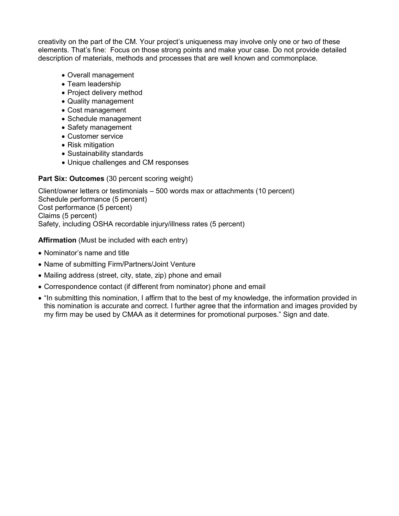creativity on the part of the CM. Your project's uniqueness may involve only one or two of these elements. That's fine: Focus on those strong points and make your case. Do not provide detailed description of materials, methods and processes that are well known and commonplace.

- Overall management
- Team leadership
- Project delivery method
- Quality management
- Cost management
- Schedule management
- Safety management
- Customer service
- Risk mitigation
- Sustainability standards
- Unique challenges and CM responses

# **Part Six: Outcomes** (30 percent scoring weight)

Client/owner letters or testimonials – 500 words max or attachments (10 percent) Schedule performance (5 percent) Cost performance (5 percent) Claims (5 percent) Safety, including OSHA recordable injury/illness rates (5 percent)

# **Affirmation** (Must be included with each entry)

- Nominator's name and title
- Name of submitting Firm/Partners/Joint Venture
- Mailing address (street, city, state, zip) phone and email
- Correspondence contact (if different from nominator) phone and email
- "In submitting this nomination, I affirm that to the best of my knowledge, the information provided in this nomination is accurate and correct. I further agree that the information and images provided by my firm may be used by CMAA as it determines for promotional purposes." Sign and date.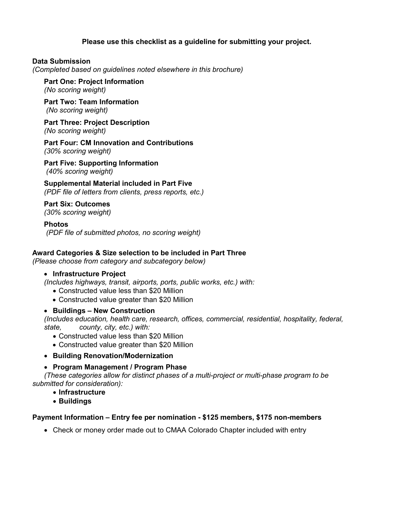# **Please use this checklist as a guideline for submitting your project.**

### **Data Submission**

*(Completed based on guidelines noted elsewhere in this brochure)*

**Part One: Project Information**  *(No scoring weight)*

**Part Two: Team Information**  *(No scoring weight)*

**Part Three: Project Description** *(No scoring weight)*

**Part Four: CM Innovation and Contributions** *(30% scoring weight)*

**Part Five: Supporting Information** *(40% scoring weight)*

**Supplemental Material included in Part Five** *(PDF file of letters from clients, press reports, etc.)*

# **Part Six: Outcomes**

*(30% scoring weight)*

### **Photos**

*(PDF file of submitted photos, no scoring weight)*

#### **Award Categories & Size selection to be included in Part Three**

*(Please choose from category and subcategory below)*

### • **Infrastructure Project**

*(Includes highways, transit, airports, ports, public works, etc.) with:*

- Constructed value less than \$20 Million
- Constructed value greater than \$20 Million

#### • **Buildings – New Construction**

*(Includes education, health care, research, offices, commercial, residential, hospitality, federal, state, county, city, etc.) with:*

- Constructed value less than \$20 Million
- Constructed value greater than \$20 Million
- **Building Renovation/Modernization**

#### • **Program Management / Program Phase**

*(These categories allow for distinct phases of a multi-project or multi-phase program to be submitted for consideration):*

- **Infrastructure**
- **Buildings**

#### **Payment Information – Entry fee per nomination - \$125 members, \$175 non-members**

• Check or money order made out to CMAA Colorado Chapter included with entry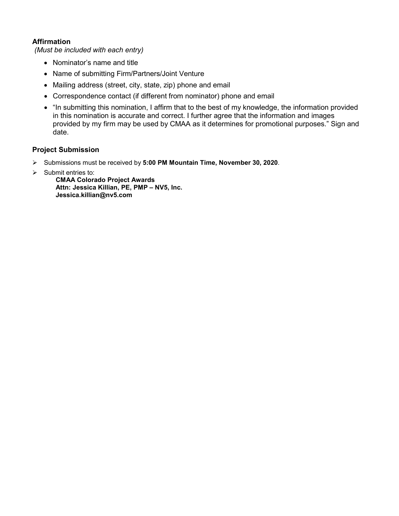# **Affirmation**

*(Must be included with each entry)*

- Nominator's name and title
- Name of submitting Firm/Partners/Joint Venture
- Mailing address (street, city, state, zip) phone and email
- Correspondence contact (if different from nominator) phone and email
- "In submitting this nomination, I affirm that to the best of my knowledge, the information provided in this nomination is accurate and correct. I further agree that the information and images provided by my firm may be used by CMAA as it determines for promotional purposes." Sign and date.

# **Project Submission**

- Submissions must be received by **5:00 PM Mountain Time, November 30, 2020**.
- $\triangleright$  Submit entries to:
	- **CMAA Colorado Project Awards Attn: Jessica Killian, PE, PMP – NV5, Inc. Jessica.killian@nv5.com**